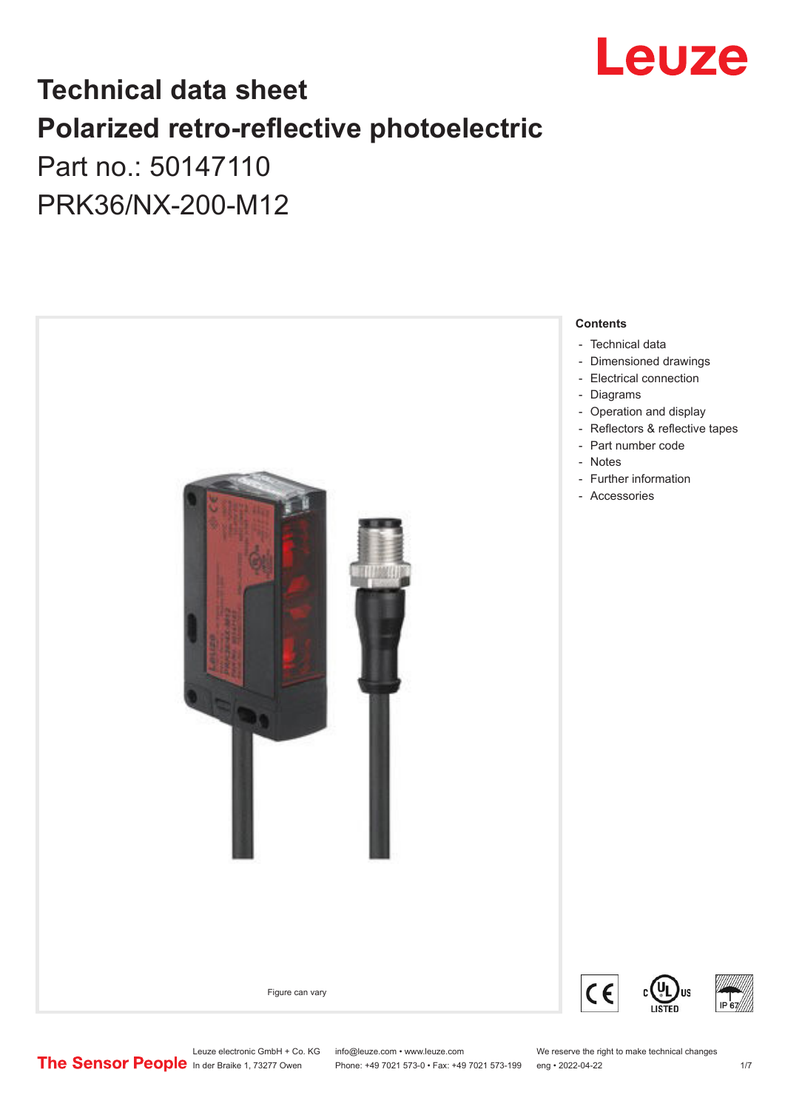

## **Technical data sheet Polarized retro-reflective photoelectric**  Part no.: 50147110

PRK36/NX-200-M12

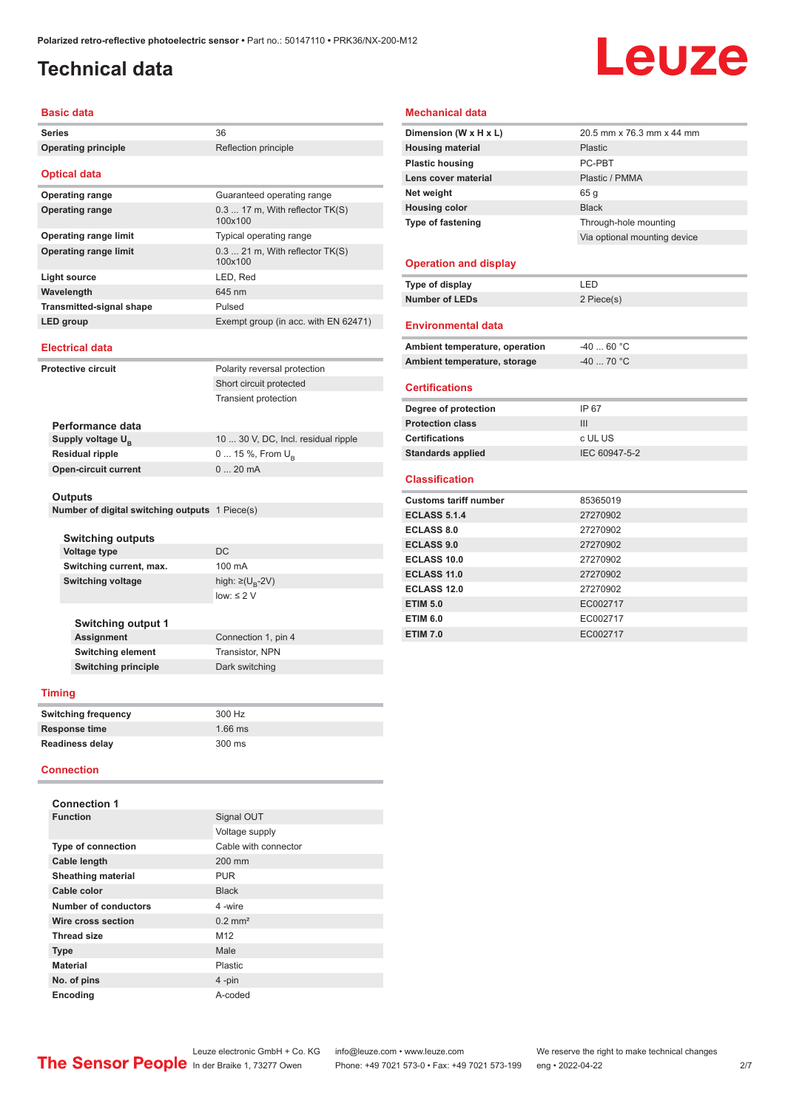### <span id="page-1-0"></span>**Technical data**

# Leuze

#### **Basic data**

| Series                                                           | 36                                         |  |
|------------------------------------------------------------------|--------------------------------------------|--|
| <b>Operating principle</b>                                       | Reflection principle                       |  |
|                                                                  |                                            |  |
| <b>Optical data</b>                                              |                                            |  |
| <b>Operating range</b>                                           | Guaranteed operating range                 |  |
| <b>Operating range</b>                                           | $0.317$ m, With reflector TK(S)<br>100x100 |  |
| <b>Operating range limit</b>                                     | Typical operating range                    |  |
| <b>Operating range limit</b>                                     | $0.321$ m, With reflector $TK(S)$          |  |
|                                                                  | 100x100                                    |  |
| <b>Light source</b>                                              | LED, Red                                   |  |
| Wavelength                                                       | 645 nm                                     |  |
| <b>Transmitted-signal shape</b>                                  | Pulsed                                     |  |
| LED group                                                        | Exempt group (in acc. with EN 62471)       |  |
| <b>Electrical data</b>                                           |                                            |  |
| <b>Protective circuit</b>                                        | Polarity reversal protection               |  |
|                                                                  | Short circuit protected                    |  |
|                                                                  | <b>Transient protection</b>                |  |
|                                                                  |                                            |  |
| Performance data                                                 |                                            |  |
| Supply voltage $U_{B}$                                           | 10  30 V, DC, Incl. residual ripple        |  |
| <b>Residual ripple</b>                                           | 0  15 %, From $U_{\rm B}$                  |  |
| <b>Open-circuit current</b>                                      | 020mA                                      |  |
|                                                                  |                                            |  |
| <b>Outputs</b><br>Number of digital switching outputs 1 Piece(s) |                                            |  |
|                                                                  |                                            |  |
| Switching outputs                                                |                                            |  |
| Voltage type                                                     | DC                                         |  |
| Switching current, max.                                          | 100 mA                                     |  |
| <b>Switching voltage</b>                                         | high: ≥(U <sub>в</sub> -2V)                |  |
|                                                                  | $low: \leq 2$ V                            |  |
|                                                                  |                                            |  |
| <b>Switching output 1</b>                                        |                                            |  |
| Assignment<br>Switching element                                  | Connection 1, pin 4<br>Transistor, NPN     |  |
| <b>Switching principle</b>                                       | Dark switching                             |  |
|                                                                  |                                            |  |
| Timing                                                           |                                            |  |
| <b>Switching frequency</b>                                       | 300 Hz                                     |  |
| Response time                                                    | 1.66 ms                                    |  |
| Readiness delay                                                  | 300 ms                                     |  |
| <b>Connection</b>                                                |                                            |  |
|                                                                  |                                            |  |
| <b>Connection 1</b>                                              |                                            |  |
| <b>Function</b>                                                  | Signal OUT                                 |  |
|                                                                  | Voltage supply                             |  |
| <b>Type of connection</b>                                        | Cable with connector                       |  |
| Cable length                                                     | 200 mm                                     |  |
| <b>Sheathing material</b>                                        | <b>PUR</b>                                 |  |
| Cable color                                                      | <b>Black</b>                               |  |
| <b>Number of conductors</b>                                      | 4-wire                                     |  |
| Wire cross section                                               | $0.2$ mm <sup>2</sup>                      |  |
| <b>Thread size</b>                                               | M12                                        |  |
| Type                                                             | Male                                       |  |
| Material                                                         | Plastic                                    |  |

#### **Mechanical data**

| Dimension (W x H x L)          | 20.5 mm x 76.3 mm x 44 mm    |
|--------------------------------|------------------------------|
| <b>Housing material</b>        | Plastic                      |
| <b>Plastic housing</b>         | PC-PRT                       |
| Lens cover material            | Plastic / PMMA               |
| Net weight                     | 65 <sub>g</sub>              |
| <b>Housing color</b>           | <b>Black</b>                 |
| Type of fastening              | Through-hole mounting        |
|                                | Via optional mounting device |
|                                |                              |
| <b>Operation and display</b>   |                              |
| Type of display                | LED                          |
| <b>Number of LEDs</b>          | 2 Piece(s)                   |
|                                |                              |
| <b>Environmental data</b>      |                              |
| Ambient temperature, operation | $-4060 °C$                   |
| Ambient temperature, storage   | $-40$ 70 °C                  |
|                                |                              |
| <b>Certifications</b>          |                              |
| Degree of protection           | IP 67                        |
| <b>Protection class</b>        | Ш                            |
| <b>Certifications</b>          | c UL US                      |
| <b>Standards applied</b>       | IEC 60947-5-2                |
|                                |                              |
| <b>Classification</b>          |                              |
| <b>Customs tariff number</b>   | 85365019                     |
| <b>ECLASS 5.1.4</b>            | 27270902                     |
| <b>ECLASS 8.0</b>              | 27270902                     |
| <b>ECLASS 9.0</b>              | 27270902                     |
| ECLASS 10.0                    | 27270902                     |
| ECLASS 11.0                    | 27270902                     |
| <b>ECLASS 12.0</b>             | 27270902                     |
| <b>ETIM 5.0</b>                | EC002717                     |
| <b>ETIM 6.0</b>                | EC002717                     |
|                                |                              |

**No. of pins** 4 -pin **Encoding** A-coded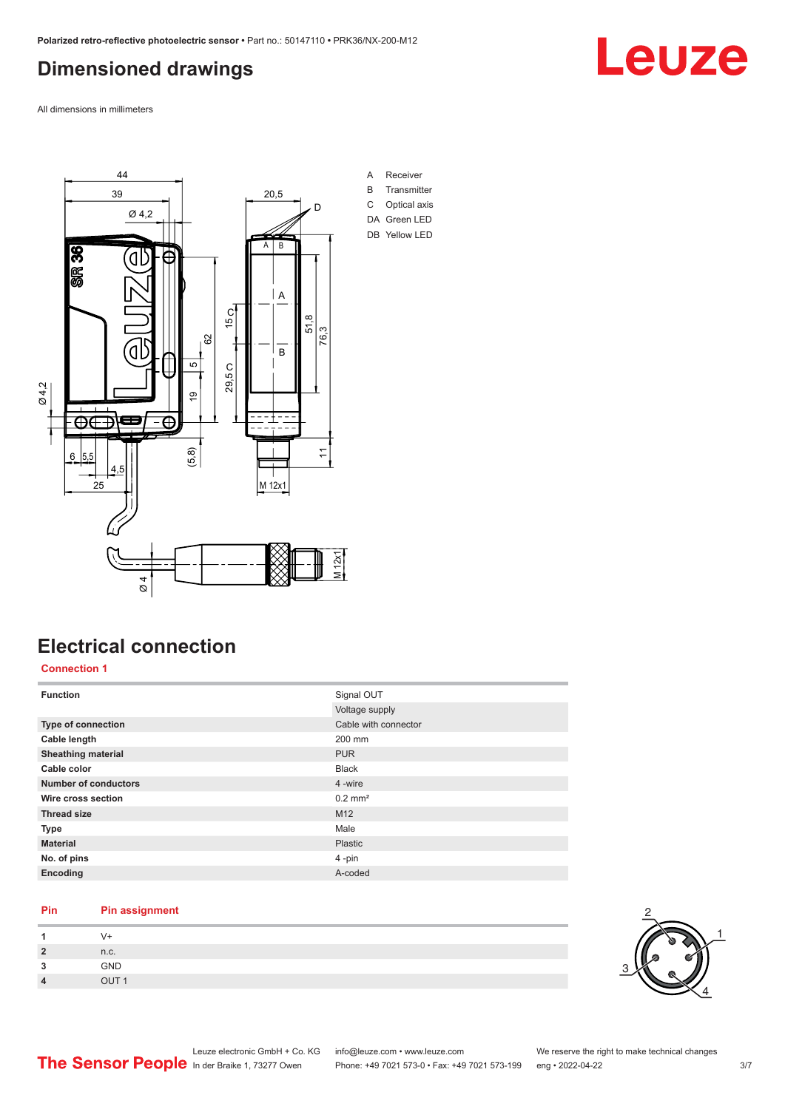### <span id="page-2-0"></span>**Dimensioned drawings**

Leuze

All dimensions in millimeters



### **Electrical connection**

#### **Connection 1**

| <b>Function</b>           | Signal OUT            |
|---------------------------|-----------------------|
|                           | Voltage supply        |
| Type of connection        | Cable with connector  |
| Cable length              | 200 mm                |
| <b>Sheathing material</b> | <b>PUR</b>            |
| Cable color               | <b>Black</b>          |
| Number of conductors      | 4 -wire               |
| Wire cross section        | $0.2$ mm <sup>2</sup> |
| <b>Thread size</b>        | M12                   |
| <b>Type</b>               | Male                  |
| <b>Material</b>           | Plastic               |
| No. of pins               | 4-pin                 |
| Encoding                  | A-coded               |

#### **Pin Pin assignment**

| 2                    | n.c.              |
|----------------------|-------------------|
| $\ddot{\phantom{0}}$ | GND               |
| $\overline{a}$       | $\overline{1}$ IT |

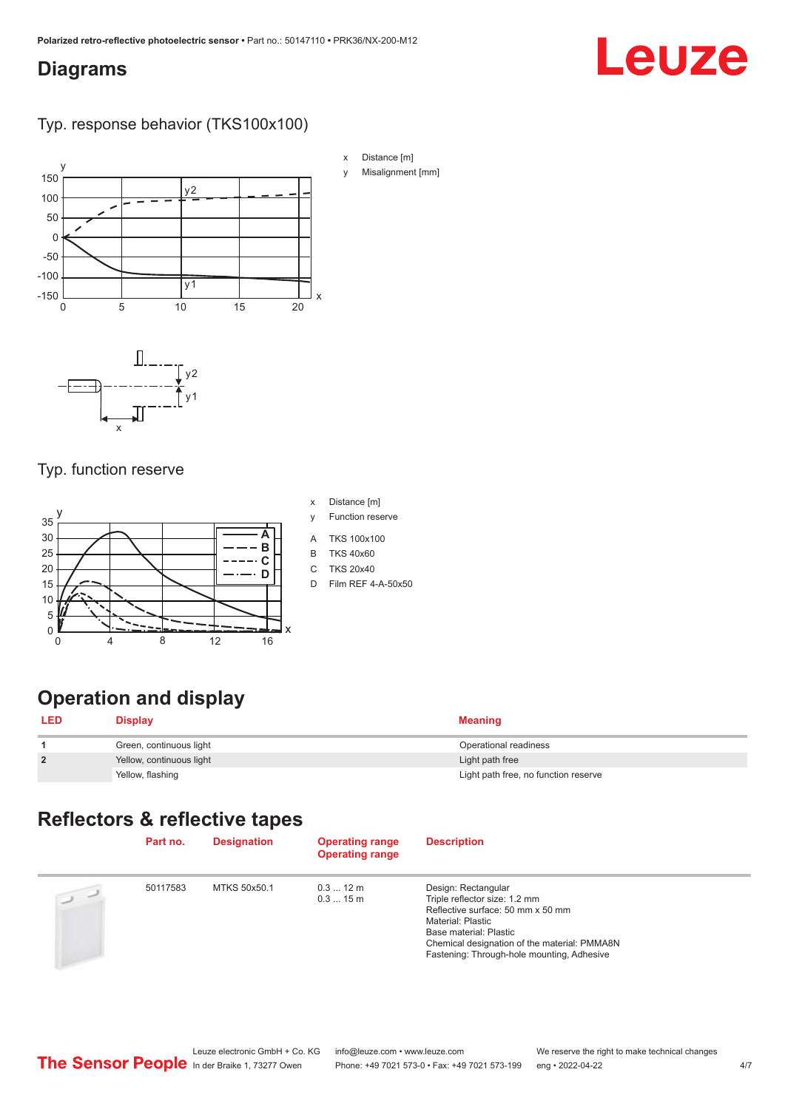### <span id="page-3-0"></span>**Diagrams**

## Leuze

### Typ. response behavior (TKS100x100)



### Typ. function reserve



- x Distance [m]
- y Function reserve
- A TKS 100x100
- B TKS 40x60
- C TKS 20x40 D Film REF 4-A-50x50
- 

### **Operation and display**

| <b>LED</b>     | <b>Display</b>           | <b>Meaning</b>                       |
|----------------|--------------------------|--------------------------------------|
|                | Green, continuous light  | Operational readiness                |
| $\overline{2}$ | Yellow, continuous light | Light path free                      |
|                | Yellow, flashing         | Light path free, no function reserve |

### **Reflectors & reflective tapes**

|            | Part no. | <b>Designation</b> | <b>Operating range</b><br><b>Operating range</b> | <b>Description</b>                                                                                                                                                                                                                     |
|------------|----------|--------------------|--------------------------------------------------|----------------------------------------------------------------------------------------------------------------------------------------------------------------------------------------------------------------------------------------|
| $\sqrt{2}$ | 50117583 | MTKS 50x50.1       | $0.312 \text{ m}$<br>$0.315$ m                   | Design: Rectangular<br>Triple reflector size: 1.2 mm<br>Reflective surface: 50 mm x 50 mm<br>Material: Plastic<br>Base material: Plastic<br>Chemical designation of the material: PMMA8N<br>Fastening: Through-hole mounting, Adhesive |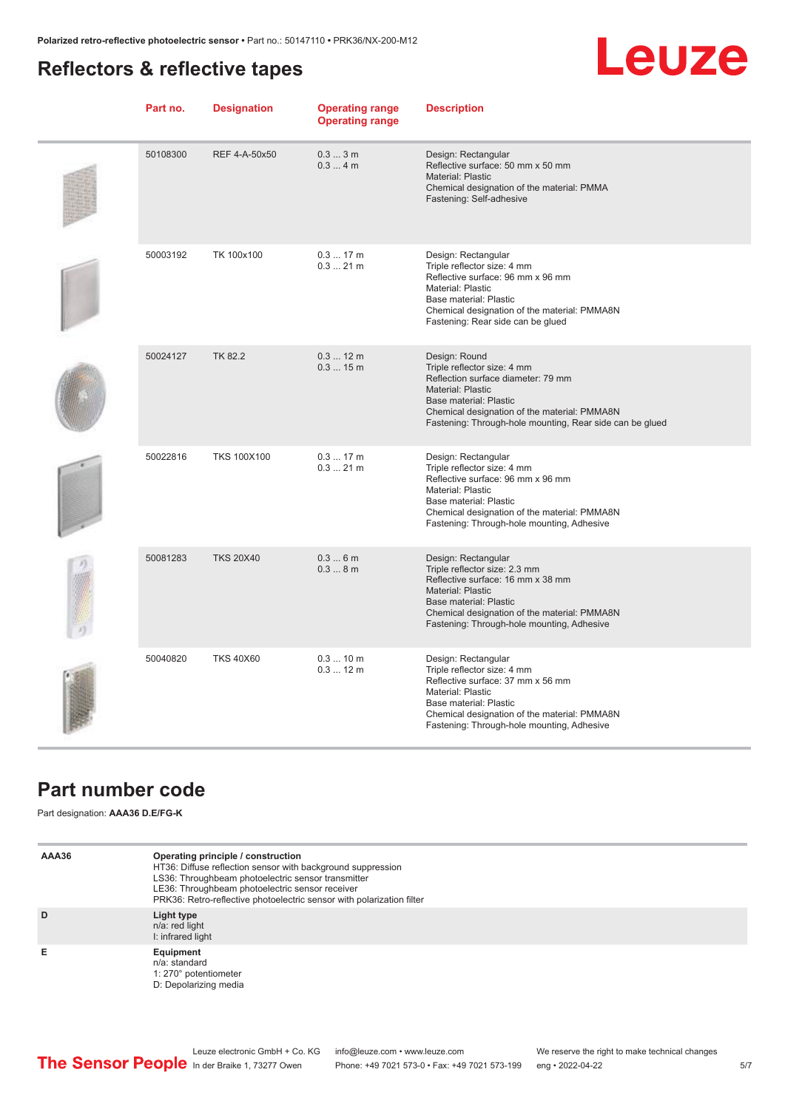### <span id="page-4-0"></span>**Reflectors & reflective tapes**

## **Leuze**

| Part no. | <b>Designation</b> | <b>Operating range</b><br><b>Operating range</b> | <b>Description</b>                                                                                                                                                                                                                                   |
|----------|--------------------|--------------------------------------------------|------------------------------------------------------------------------------------------------------------------------------------------------------------------------------------------------------------------------------------------------------|
| 50108300 | REF 4-A-50x50      | 0.33m<br>0.34m                                   | Design: Rectangular<br>Reflective surface: 50 mm x 50 mm<br><b>Material: Plastic</b><br>Chemical designation of the material: PMMA<br>Fastening: Self-adhesive                                                                                       |
| 50003192 | TK 100x100         | 0.317m<br>$0.321$ m                              | Design: Rectangular<br>Triple reflector size: 4 mm<br>Reflective surface: 96 mm x 96 mm<br><b>Material: Plastic</b><br>Base material: Plastic<br>Chemical designation of the material: PMMA8N<br>Fastening: Rear side can be glued                   |
| 50024127 | <b>TK 82.2</b>     | $0.312 \text{ m}$<br>0.315m                      | Design: Round<br>Triple reflector size: 4 mm<br>Reflection surface diameter: 79 mm<br><b>Material: Plastic</b><br>Base material: Plastic<br>Chemical designation of the material: PMMA8N<br>Fastening: Through-hole mounting, Rear side can be glued |
| 50022816 | <b>TKS 100X100</b> | 0.317m<br>$0.321$ m                              | Design: Rectangular<br>Triple reflector size: 4 mm<br>Reflective surface: 96 mm x 96 mm<br><b>Material: Plastic</b><br>Base material: Plastic<br>Chemical designation of the material: PMMA8N<br>Fastening: Through-hole mounting, Adhesive          |
| 50081283 | <b>TKS 20X40</b>   | 0.36m<br>0.38m                                   | Design: Rectangular<br>Triple reflector size: 2.3 mm<br>Reflective surface: 16 mm x 38 mm<br><b>Material: Plastic</b><br>Base material: Plastic<br>Chemical designation of the material: PMMA8N<br>Fastening: Through-hole mounting, Adhesive        |
| 50040820 | <b>TKS 40X60</b>   | 0.310 m<br>0.312 m                               | Design: Rectangular<br>Triple reflector size: 4 mm<br>Reflective surface: 37 mm x 56 mm<br>Material: Plastic<br>Base material: Plastic<br>Chemical designation of the material: PMMA8N<br>Fastening: Through-hole mounting, Adhesive                 |

### **Part number code**

Part designation: **AAA36 D.E/FG-K**

| AAA36 | Operating principle / construction<br>HT36: Diffuse reflection sensor with background suppression<br>LS36: Throughbeam photoelectric sensor transmitter<br>LE36: Throughbeam photoelectric sensor receiver<br>PRK36: Retro-reflective photoelectric sensor with polarization filter |
|-------|-------------------------------------------------------------------------------------------------------------------------------------------------------------------------------------------------------------------------------------------------------------------------------------|
| D     | Light type<br>n/a: red light<br>I: infrared light                                                                                                                                                                                                                                   |
| Е     | Equipment<br>n/a: standard<br>1: 270° potentiometer<br>D: Depolarizing media                                                                                                                                                                                                        |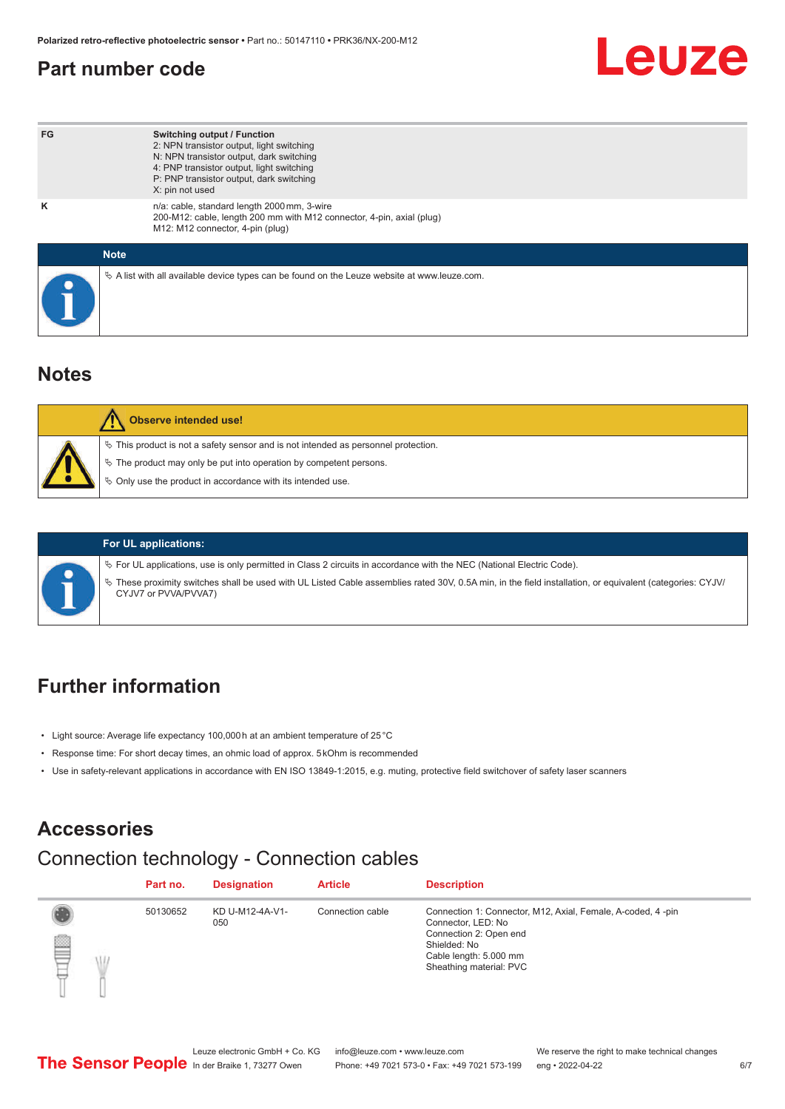### <span id="page-5-0"></span>**Part number code**

## Leuze

| FG | <b>Switching output / Function</b><br>2: NPN transistor output, light switching<br>N: NPN transistor output, dark switching<br>4: PNP transistor output, light switching<br>P: PNP transistor output, dark switching<br>X: pin not used |
|----|-----------------------------------------------------------------------------------------------------------------------------------------------------------------------------------------------------------------------------------------|
| ĸ  | n/a: cable, standard length 2000 mm, 3-wire<br>200-M12: cable, length 200 mm with M12 connector, 4-pin, axial (plug)<br>M12: M12 connector, 4-pin (plug)                                                                                |
|    | <b>Note</b>                                                                                                                                                                                                                             |
|    | $\&$ A list with all available device types can be found on the Leuze website at www.leuze.com.                                                                                                                                         |

### **Notes**

| <b>Observe intended use!</b>                                                                                                                                                                                                     |
|----------------------------------------------------------------------------------------------------------------------------------------------------------------------------------------------------------------------------------|
| $\%$ This product is not a safety sensor and is not intended as personnel protection.<br>$\&$ The product may only be put into operation by competent persons.<br>$\%$ Only use the product in accordance with its intended use. |
|                                                                                                                                                                                                                                  |



#### **For UL applications:**

ª For UL applications, use is only permitted in Class 2 circuits in accordance with the NEC (National Electric Code).

ª These proximity switches shall be used with UL Listed Cable assemblies rated 30V, 0.5A min, in the field installation, or equivalent (categories: CYJV/ CYJV7 or PVVA/PVVA7)

### **Further information**

- Light source: Average life expectancy 100,000 h at an ambient temperature of 25 °C
- Response time: For short decay times, an ohmic load of approx. 5 kOhm is recommended
- Use in safety-relevant applications in accordance with EN ISO 13849-1:2015, e.g. muting, protective field switchover of safety laser scanners

### **Accessories**

### Connection technology - Connection cables

|   |   | Part no. | <b>Designation</b>     | <b>Article</b>   | <b>Description</b>                                                                                                                                                               |
|---|---|----------|------------------------|------------------|----------------------------------------------------------------------------------------------------------------------------------------------------------------------------------|
| ┋ | Ŵ | 50130652 | KD U-M12-4A-V1-<br>050 | Connection cable | Connection 1: Connector, M12, Axial, Female, A-coded, 4-pin<br>Connector, LED: No<br>Connection 2: Open end<br>Shielded: No<br>Cable length: 5.000 mm<br>Sheathing material: PVC |